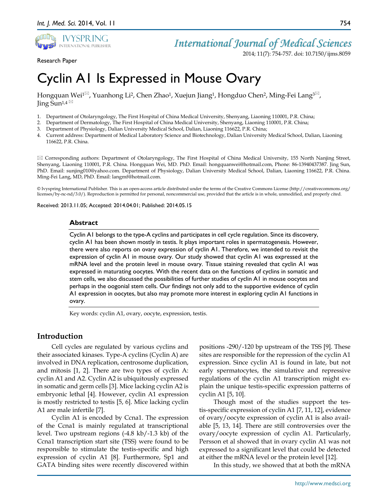

Research Paper

2014; 11(7): 754-757. doi: 10.7150/ijms.8059

# Cyclin A1 Is Expressed in Mouse Ovary

Hongquan Wei<sup>1 $\boxtimes$ </sup>, Yuanhong Li<sup>2</sup>, Chen Zhao<sup>1</sup>, Xuejun Jiang<sup>1</sup>, Hongduo Chen<sup>2</sup>, Ming-Fei Lang<sup>3 $\boxtimes$ </sup>, Jing Sun<sup>1,4 $\text{M}$ </sup>

- 1. Department of Otolaryngology, The First Hospital of China Medical University, Shenyang, Liaoning 110001, P.R. China;
- 2. Department of Dermatology, The First Hospital of China Medical University, Shenyang, Liaoning 110001, P.R. China;
- 3. Department of Physiology, Dalian University Medical School, Dalian, Liaoning 116622, P.R. China;
- 4. Current address: Department of Medical Laboratory Science and Biotechnology, Dalian University Medical School, Dalian, Liaoning 116622, P.R. China.

 Corresponding authors: Department of Otolaryngology, The First Hospital of China Medical University, 155 North Nanjing Street, Shenyang, Liaoning 110001, P.R. China. Hongquan Wei, MD. PhD. Email: hongquanwei@hotmail.com, Phone: 86-13940437387. Jing Sun, PhD. Email: sunjing010@yahoo.com. Department of Physiology, Dalian University Medical School, Dalian, Liaoning 116622, P.R. China. Ming-Fei Lang, MD, PhD. Email: langmf@hotmail.com.

© Ivyspring International Publisher. This is an open-access article distributed under the terms of the Creative Commons License (http://creativecommons.org/ licenses/by-nc-nd/3.0/). Reproduction is permitted for personal, noncommercial use, provided that the article is in whole, unmodified, and properly cited.

Received: 2013.11.05; Accepted: 2014.04.01; Published: 2014.05.15

### **Abstract**

Cyclin A1 belongs to the type-A cyclins and participates in cell cycle regulation. Since its discovery, cyclin A1 has been shown mostly in testis. It plays important roles in spermatogenesis. However, there were also reports on ovary expression of cyclin A1. Therefore, we intended to revisit the expression of cyclin A1 in mouse ovary. Our study showed that cyclin A1 was expressed at the mRNA level and the protein level in mouse ovary. Tissue staining revealed that cyclin A1 was expressed in maturating oocytes. With the recent data on the functions of cyclins in somatic and stem cells, we also discussed the possibilities of further studies of cyclin A1 in mouse oocytes and perhaps in the oogonial stem cells. Our findings not only add to the supportive evidence of cyclin A1 expression in oocytes, but also may promote more interest in exploring cyclin A1 functions in ovary.

Key words: cyclin A1, ovary, oocyte, expression, testis.

# **Introduction**

Cell cycles are regulated by various cyclins and their associated kinases. Type-A cyclins (Cyclin A) are involved in DNA replication, centrosome duplication, and mitosis [1, 2]. There are two types of cyclin A: cyclin A1 and A2. Cyclin A2 is ubiquitously expressed in somatic and germ cells [3]. Mice lacking cyclin A2 is embryonic lethal [4]. However, cyclin A1 expression is mostly restricted to testis [5, 6]. Mice lacking cyclin A1 are male infertile [7].

Cyclin A1 is encoded by Ccna1. The expression of the Ccna1 is mainly regulated at transcriptional level. Two upstream regions (-4.8 kb/-1.3 kb) of the Ccna1 transcription start site (TSS) were found to be responsible to stimulate the testis-specific and high expression of cyclin A1 [8]. Furthermore, Sp1 and GATA binding sites were recently discovered within

positions -290/-120 bp upstream of the TSS [9]. These sites are responsible for the repression of the cyclin A1 expression. Since cyclin A1 is found in late, but not early spermatocytes, the simulative and repressive regulations of the cyclin A1 transcription might explain the unique testis-specific expression patterns of cyclin A1 [5, 10].

Though most of the studies support the testis-specific expression of cyclin A1 [7, 11, 12], evidence of ovary/oocyte expression of cyclin A1 is also available [5, 13, 14]. There are still controversies over the ovary/oocyte expression of cyclin A1. Particularly, Persson et al showed that in ovary cyclin A1 was not expressed to a significant level that could be detected at either the mRNA level or the protein level [12].

In this study, we showed that at both the mRNA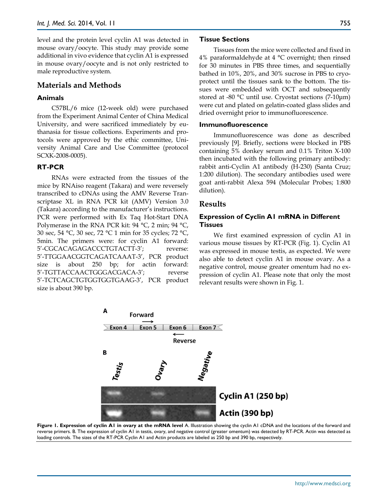level and the protein level cyclin A1 was detected in mouse ovary/oocyte. This study may provide some additional in vivo evidence that cyclin A1 is expressed in mouse ovary/oocyte and is not only restricted to male reproductive system.

# **Materials and Methods**

## **Animals**

C57BL/6 mice (12-week old) were purchased from the Experiment Animal Center of China Medical University, and were sacrificed immediately by euthanasia for tissue collections. Experiments and protocols were approved by the ethic committee, University Animal Care and Use Committee (protocol SCXK-2008-0005).

### **RT-PCR**

RNAs were extracted from the tissues of the mice by RNAiso reagent (Takara) and were reversely transcribed to cDNAs using the AMV Reverse Transcriptase XL in RNA PCR kit (AMV) Version 3.0 (Takara) according to the manufacturer's instructions. PCR were performed with Ex Taq Hot-Start DNA Polymerase in the RNA PCR kit: 94 °C, 2 min; 94 °C, 30 sec, 54 °C, 30 sec, 72 °C 1 min for 35 cycles; 72 °C, 5min. The primers were: for cyclin A1 forward: 5'-CGCACAGAGACCCTGTACTT-3'; reverse: 5'-TTGGAACGGTCAGATCAAAT-3', PCR product size is about 250 bp; for actin forward: 5'-TGTTACCAACTGGGACGACA-3'; reverse 5'-TCTCAGCTGTGGTGGTGAAG-3', PCR product size is about 390 bp.

#### **Tissue Sections**

Tissues from the mice were collected and fixed in 4% paraformaldehyde at 4  $^{\circ}$ C overnight; then rinsed for 30 minutes in PBS three times, and sequentially bathed in 10%, 20%, and 30% sucrose in PBS to cryoprotect until the tissues sank to the bottom. The tissues were embedded with OCT and subsequently stored at -80 °C until use. Cryostat sections (7-10μm) were cut and plated on gelatin-coated glass slides and dried overnight prior to immunofluorescence.

#### **Immunofluorescence**

Immunofluorescence was done as described previously [9]. Briefly, sections were blocked in PBS containing 5% donkey serum and 0.1% Triton X-100 then incubated with the following primary antibody: rabbit anti-Cyclin A1 antibody (H-230) (Santa Cruz; 1:200 dilution). The secondary antibodies used were goat anti-rabbit Alexa 594 (Molecular Probes; 1:800 dilution).

### **Results**

## **Expression of Cyclin A1 mRNA in Different Tissues**

We first examined expression of cyclin A1 in various mouse tissues by RT-PCR (Fig. 1). Cyclin A1 was expressed in mouse testis, as expected. We were also able to detect cyclin A1 in mouse ovary. As a negative control, mouse greater omentum had no expression of cyclin A1. Please note that only the most relevant results were shown in Fig. 1.



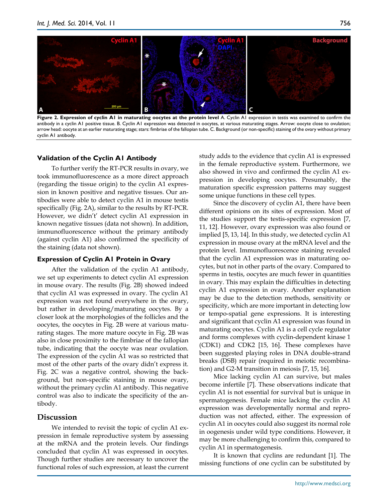

**Figure 2. Expression of cyclin A1 in maturating oocytes at the protein level** A. Cyclin A1 expression in testis was examined to confirm the antibody in a cyclin A1 positive tissue. B. Cyclin A1 expression was detected in oocytes, at various maturating stages. Arrow: oocyte close to ovulation; arrow head: oocyte at an earlier maturating stage; stars: fimbriae of the fallopian tube. C. Background (or non-specific) staining of the ovary without primary cyclin A1 antibody.

# **Validation of the Cyclin A1 Antibody**

To further verify the RT-PCR results in ovary, we took immunofluorescence as a more direct approach (regarding the tissue origin) to the cyclin A1 expression in known positive and negative tissues. Our antibodies were able to detect cyclin A1 in mouse testis specifically (Fig. 2A), similar to the results by RT-PCR. However, we didn't' detect cyclin A1 expression in known negative tissues (data not shown). In addition, immunofluorescence without the primary antibody (against cyclin A1) also confirmed the specificity of the staining (data not shown).

# **Expression of Cyclin A1 Protein in Ovary**

After the validation of the cyclin A1 antibody, we set up experiments to detect cyclin A1 expression in mouse ovary. The results (Fig. 2B) showed indeed that cyclin A1 was expressed in ovary. The cyclin A1 expression was not found everywhere in the ovary, but rather in developing/maturating oocytes. By a closer look at the morphologies of the follicles and the oocytes, the oocytes in Fig. 2B were at various maturating stages. The more mature oocyte in Fig. 2B was also in close proximity to the fimbriae of the fallopian tube, indicating that the oocyte was near ovulation. The expression of the cyclin A1 was so restricted that most of the other parts of the ovary didn't express it. Fig. 2C was a negative control, showing the background, but non-specific staining in mouse ovary, without the primary cyclin A1 antibody. This negative control was also to indicate the specificity of the antibody.

# **Discussion**

We intended to revisit the topic of cyclin A1 expression in female reproductive system by assessing at the mRNA and the protein levels. Our findings concluded that cyclin A1 was expressed in oocytes. Though further studies are necessary to uncover the functional roles of such expression, at least the current study adds to the evidence that cyclin A1 is expressed in the female reproductive system. Furthermore, we also showed in vivo and confirmed the cyclin A1 expression in developing oocytes. Presumably, the maturation specific expression patterns may suggest some unique functions in these cell types.

Since the discovery of cyclin A1, there have been different opinions on its sites of expression. Most of the studies support the testis-specific expression [7, 11, 12]. However, ovary expression was also found or implied [5, 13, 14]. In this study, we detected cyclin A1 expression in mouse ovary at the mRNA level and the protein level. Immunofluorescence staining revealed that the cyclin A1 expression was in maturating oocytes, but not in other parts of the ovary. Compared to sperms in testis, oocytes are much fewer in quantities in ovary. This may explain the difficulties in detecting cyclin A1 expression in ovary. Another explanation may be due to the detection methods, sensitivity or specificity, which are more important in detecting low or tempo-spatial gene expressions. It is interesting and significant that cyclin A1 expression was found in maturating oocytes. Cyclin A1 is a cell cycle regulator and forms complexes with cyclin-dependent kinase 1 (CDK1) and CDK2 [15, 16]. These complexes have been suggested playing roles in DNA double-strand breaks (DSB) repair (required in meiotic recombination) and G2-M transition in meiosis [7, 15, 16].

Mice lacking cyclin A1 can survive, but males become infertile [7]. These observations indicate that cyclin A1 is not essential for survival but is unique in spermatogenesis. Female mice lacking the cyclin A1 expression was developmentally normal and reproduction was not affected, either. The expression of cyclin A1 in oocytes could also suggest its normal role in oogenesis under wild type conditions. However, it may be more challenging to confirm this, compared to cyclin A1 in spermatogenesis.

It is known that cyclins are redundant [1]. The missing functions of one cyclin can be substituted by